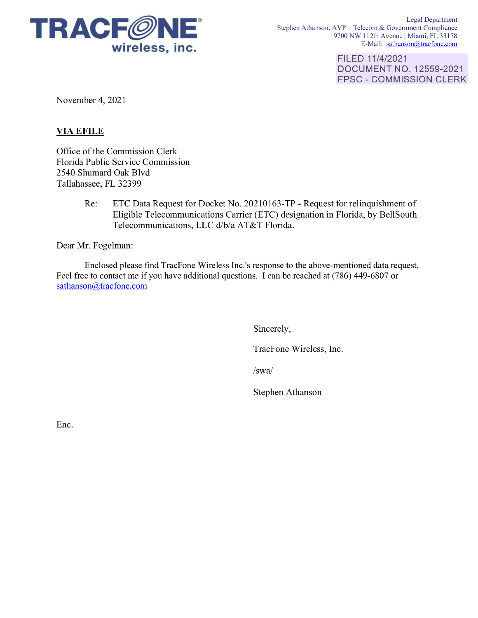

Legal Department Stephen Athanson, AVP - Telecom & Government Compliance 9700 NW 112th Avenue | Miami, FL 33178 E-Mail: sathanson@tracfone.com

> FILED 11/4/2021 DOCUMENT NO. 12559-2021 FPSC - COMMISSION CLERK

November 4, 2021

## **VIAEFILE**

Office of the Commission Clerk Florida Public Service Commission 2540 Shumard Oak Blvd Tallahassee, FL 32399

> Re: ETC Data Request for Docket No. 20210163-TP - Request for relinquishment of Eligible Telecommunications Carrier (ETC) designation in Florida, by BellSouth Telecommunications, LLC d/b/a AT&T Florida.

Dear Mr. Fogelman:

Enclosed please find TracFone Wireless Inc.'s response to the above-mentioned data request. Feel free to contact me if you have additional questions. I can be reached at (786) 449-6807 or sathanson@tracfone.com

Sincerely,

TracFone Wireless, Inc.

/swa/

Stephen Athanson

Enc.